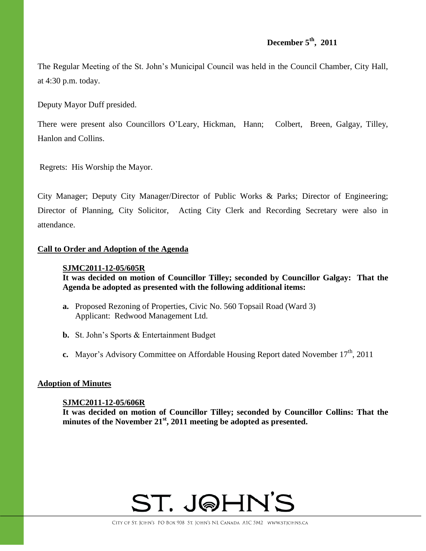#### **December 5th , 2011**

The Regular Meeting of the St. John's Municipal Council was held in the Council Chamber, City Hall, at 4:30 p.m. today.

Deputy Mayor Duff presided.

There were present also Councillors O'Leary, Hickman, Hann; Colbert, Breen, Galgay, Tilley, Hanlon and Collins.

Regrets: His Worship the Mayor.

City Manager; Deputy City Manager/Director of Public Works & Parks; Director of Engineering; Director of Planning, City Solicitor, Acting City Clerk and Recording Secretary were also in attendance.

#### **Call to Order and Adoption of the Agenda**

#### **SJMC2011-12-05/605R**

**It was decided on motion of Councillor Tilley; seconded by Councillor Galgay: That the Agenda be adopted as presented with the following additional items:**

- **a.** Proposed Rezoning of Properties, Civic No. 560 Topsail Road (Ward 3) Applicant: Redwood Management Ltd.
- **b.** St. John's Sports & Entertainment Budget
- **c.** Mayor's Advisory Committee on Affordable Housing Report dated November 17<sup>th</sup>, 2011

#### **Adoption of Minutes**

#### **SJMC2011-12-05/606R**

**It was decided on motion of Councillor Tilley; seconded by Councillor Collins: That the minutes of the November 21st , 2011 meeting be adopted as presented.**

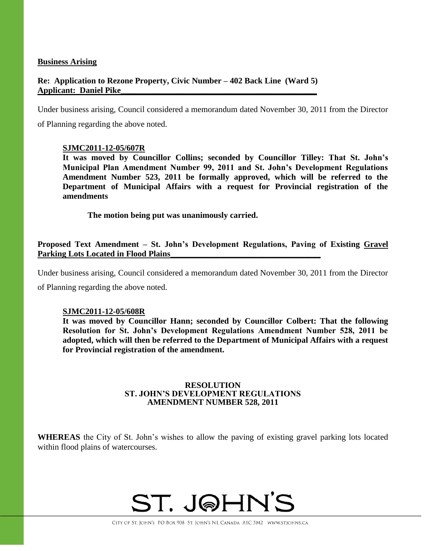#### **Business Arising**

#### **Re: Application to Rezone Property, Civic Number – 402 Back Line (Ward 5) Applicant: Daniel Pike\_\_\_\_\_\_\_\_\_\_\_\_\_\_\_\_\_\_\_\_\_\_\_\_\_\_\_\_\_\_\_\_\_\_\_\_\_\_\_\_\_\_\_\_\_\_\_**

Under business arising, Council considered a memorandum dated November 30, 2011 from the Director of Planning regarding the above noted.

#### **SJMC2011-12-05/607R**

**It was moved by Councillor Collins; seconded by Councillor Tilley: That St. John's Municipal Plan Amendment Number 99, 2011 and St. John's Development Regulations Amendment Number 523, 2011 be formally approved, which will be referred to the Department of Municipal Affairs with a request for Provincial registration of the amendments**

**The motion being put was unanimously carried.**

**Proposed Text Amendment – St. John's Development Regulations, Paving of Existing Gravel**  Parking Lots Located in Flood Plains

Under business arising, Council considered a memorandum dated November 30, 2011 from the Director of Planning regarding the above noted.

#### **SJMC2011-12-05/608R**

**It was moved by Councillor Hann; seconded by Councillor Colbert: That the following Resolution for St. John's Development Regulations Amendment Number 528, 2011 be adopted, which will then be referred to the Department of Municipal Affairs with a request for Provincial registration of the amendment.**

#### **RESOLUTION ST. JOHN'S DEVELOPMENT REGULATIONS AMENDMENT NUMBER 528, 2011**

**WHEREAS** the City of St. John's wishes to allow the paving of existing gravel parking lots located within flood plains of watercourses.

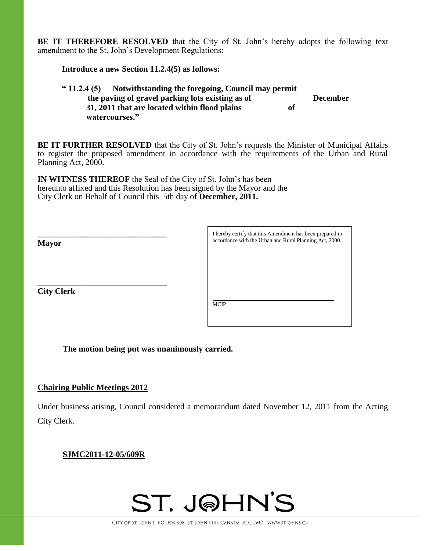**BE IT THEREFORE RESOLVED** that the City of St. John's hereby adopts the following text amendment to the St. John's Development Regulations:

#### **Introduce a new Section 11.2.4(5) as follows:**

#### **" 11.2.4 (5) Notwithstanding the foregoing, Council may permit the paving of gravel parking lots existing as of December 31, 2011 that are located within flood plains of watercourses."**

**BE IT FURTHER RESOLVED** that the City of St. John's requests the Minister of Municipal Affairs to register the proposed amendment in accordance with the requirements of the Urban and Rural Planning Act, 2000.

**IN WITNESS THEREOF** the Seal of the City of St. John's has been hereunto affixed and this Resolution has been signed by the Mayor and the City Clerk on Behalf of Council this 5th day of **December, 2011.**

**\_\_\_\_\_\_\_\_\_\_\_\_\_\_\_\_\_\_\_\_\_\_\_\_\_\_\_\_\_\_\_ Mayor \_\_\_\_\_\_\_\_\_\_\_\_\_\_\_\_\_\_\_\_\_\_\_\_\_\_\_\_\_\_\_ City Clerk** I hereby certify that this Amendment has been prepared in accordance with the Urban and Rural Planning Act, 2000. \_\_\_\_\_\_\_\_\_\_\_\_\_\_\_\_\_\_\_\_\_\_\_\_\_\_\_\_\_\_\_\_\_\_\_\_\_\_\_\_\_\_\_ MCIP

**The motion being put was unanimously carried.**

#### **Chairing Public Meetings 2012**

Under business arising, Council considered a memorandum dated November 12, 2011 from the Acting City Clerk.

#### **SJMC2011-12-05/609R**

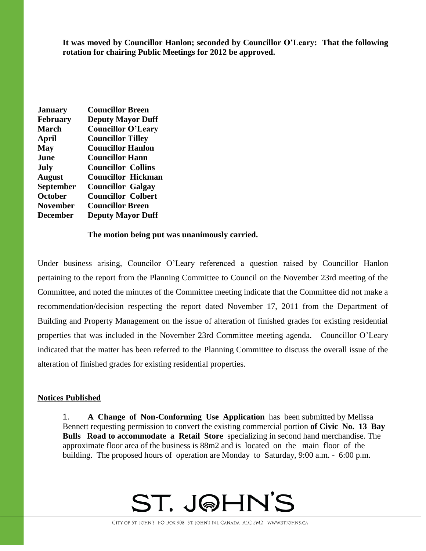**It was moved by Councillor Hanlon; seconded by Councillor O'Leary: That the following rotation for chairing Public Meetings for 2012 be approved.**

| <b>January</b>   | <b>Councillor Breen</b>   |
|------------------|---------------------------|
| <b>February</b>  | <b>Deputy Mayor Duff</b>  |
| <b>March</b>     | <b>Councillor O'Leary</b> |
| April            | <b>Councillor Tilley</b>  |
| <b>May</b>       | <b>Councillor Hanlon</b>  |
| June             | <b>Councillor Hann</b>    |
| July             | <b>Councillor Collins</b> |
| <b>August</b>    | <b>Councillor Hickman</b> |
| <b>September</b> | <b>Councillor Galgay</b>  |
| <b>October</b>   | <b>Councillor Colbert</b> |
| <b>November</b>  | <b>Councillor Breen</b>   |
| <b>December</b>  | <b>Deputy Mayor Duff</b>  |

#### **The motion being put was unanimously carried.**

Under business arising, Councilor O'Leary referenced a question raised by Councillor Hanlon pertaining to the report from the Planning Committee to Council on the November 23rd meeting of the Committee, and noted the minutes of the Committee meeting indicate that the Committee did not make a recommendation/decision respecting the report dated November 17, 2011 from the Department of Building and Property Management on the issue of alteration of finished grades for existing residential properties that was included in the November 23rd Committee meeting agenda. Councillor O'Leary indicated that the matter has been referred to the Planning Committee to discuss the overall issue of the alteration of finished grades for existing residential properties.

#### **Notices Published**

1. **A Change of Non-Conforming Use Application** has been submitted by Melissa Bennett requesting permission to convert the existing commercial portion **of Civic No. 13 Bay Bulls Road to accommodate a Retail Store** specializing in second hand merchandise. The approximate floor area of the business is 88m2 and is located on the main floor of the building. The proposed hours of operation are Monday to Saturday, 9:00 a.m. - 6:00 p.m.

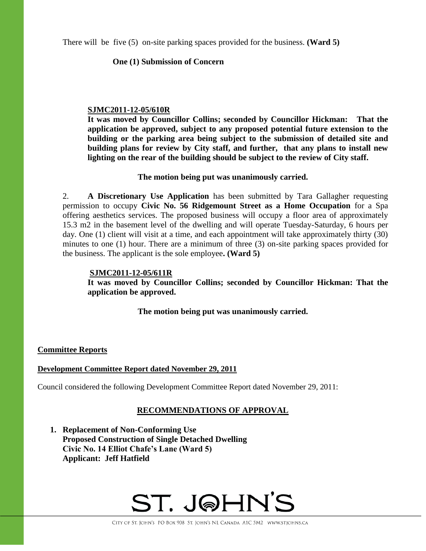There will be five (5) on-site parking spaces provided for the business. **(Ward 5)**

#### **One (1) Submission of Concern**

#### **SJMC2011-12-05/610R**

**It was moved by Councillor Collins; seconded by Councillor Hickman: That the application be approved, subject to any proposed potential future extension to the building or the parking area being subject to the submission of detailed site and building plans for review by City staff, and further, that any plans to install new lighting on the rear of the building should be subject to the review of City staff.**

#### **The motion being put was unanimously carried.**

2. **A Discretionary Use Application** has been submitted by Tara Gallagher requesting permission to occupy **Civic No. 56 Ridgemount Street as a Home Occupation** for a Spa offering aesthetics services. The proposed business will occupy a floor area of approximately 15.3 m2 in the basement level of the dwelling and will operate Tuesday-Saturday, 6 hours per day. One (1) client will visit at a time, and each appointment will take approximately thirty (30) minutes to one (1) hour. There are a minimum of three (3) on-site parking spaces provided for the business. The applicant is the sole employee**. (Ward 5)**

#### **SJMC2011-12-05/611R**

**It was moved by Councillor Collins; seconded by Councillor Hickman: That the application be approved.**

**The motion being put was unanimously carried.**

#### **Committee Reports**

#### **Development Committee Report dated November 29, 2011**

Council considered the following Development Committee Report dated November 29, 2011:

#### **RECOMMENDATIONS OF APPROVAL**

**1. Replacement of Non-Conforming Use Proposed Construction of Single Detached Dwelling Civic No. 14 Elliot Chafe's Lane (Ward 5) Applicant: Jeff Hatfield**

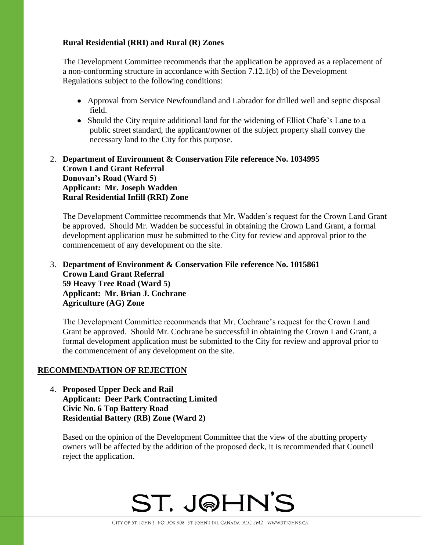#### **Rural Residential (RRI) and Rural (R) Zones**

The Development Committee recommends that the application be approved as a replacement of a non-conforming structure in accordance with Section 7.12.1(b) of the Development Regulations subject to the following conditions:

- Approval from Service Newfoundland and Labrador for drilled well and septic disposal field.
- Should the City require additional land for the widening of Elliot Chafe's Lane to a public street standard, the applicant/owner of the subject property shall convey the necessary land to the City for this purpose.

#### 2. **Department of Environment & Conservation File reference No. 1034995 Crown Land Grant Referral Donovan's Road (Ward 5) Applicant: Mr. Joseph Wadden Rural Residential Infill (RRI) Zone**

The Development Committee recommends that Mr. Wadden's request for the Crown Land Grant be approved. Should Mr. Wadden be successful in obtaining the Crown Land Grant, a formal development application must be submitted to the City for review and approval prior to the commencement of any development on the site.

#### 3. **Department of Environment & Conservation File reference No. 1015861 Crown Land Grant Referral 59 Heavy Tree Road (Ward 5) Applicant: Mr. Brian J. Cochrane Agriculture (AG) Zone**

The Development Committee recommends that Mr. Cochrane's request for the Crown Land Grant be approved. Should Mr. Cochrane be successful in obtaining the Crown Land Grant, a formal development application must be submitted to the City for review and approval prior to the commencement of any development on the site.

#### **RECOMMENDATION OF REJECTION**

4. **Proposed Upper Deck and Rail Applicant: Deer Park Contracting Limited Civic No. 6 Top Battery Road Residential Battery (RB) Zone (Ward 2)**

Based on the opinion of the Development Committee that the view of the abutting property owners will be affected by the addition of the proposed deck, it is recommended that Council reject the application.

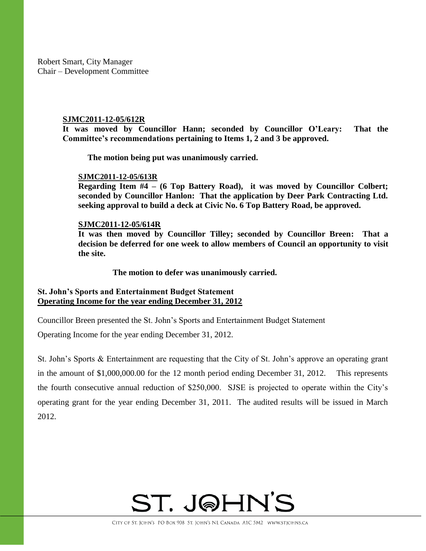Robert Smart, City Manager Chair – Development Committee

#### **SJMC2011-12-05/612R**

**It was moved by Councillor Hann; seconded by Councillor O'Leary: That the Committee's recommendations pertaining to Items 1, 2 and 3 be approved.**

**The motion being put was unanimously carried.**

#### **SJMC2011-12-05/613R**

**Regarding Item #4 – (6 Top Battery Road), it was moved by Councillor Colbert; seconded by Councillor Hanlon: That the application by Deer Park Contracting Ltd. seeking approval to build a deck at Civic No. 6 Top Battery Road, be approved.**

#### **SJMC2011-12-05/614R**

**It was then moved by Councillor Tilley; seconded by Councillor Breen: That a decision be deferred for one week to allow members of Council an opportunity to visit the site.**

**The motion to defer was unanimously carried.**

#### **St. John's Sports and Entertainment Budget Statement Operating Income for the year ending December 31, 2012**

Councillor Breen presented the St. John's Sports and Entertainment Budget Statement

Operating Income for the year ending December 31, 2012.

St. John's Sports & Entertainment are requesting that the City of St. John's approve an operating grant in the amount of \$1,000,000.00 for the 12 month period ending December 31, 2012. This represents the fourth consecutive annual reduction of \$250,000. SJSE is projected to operate within the City's operating grant for the year ending December 31, 2011. The audited results will be issued in March 2012.

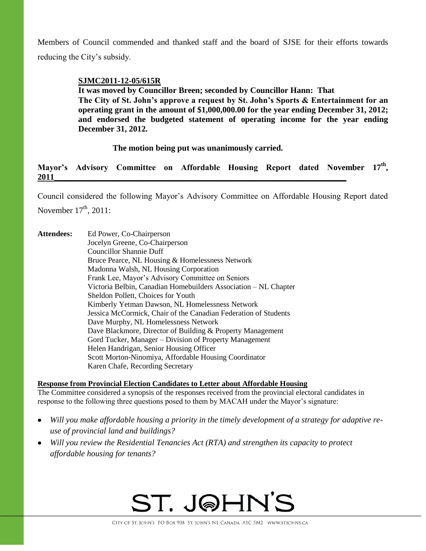Members of Council commended and thanked staff and the board of SJSE for their efforts towards reducing the City's subsidy.

#### **SJMC2011-12-05/615R**

**It was moved by Councillor Breen; seconded by Councillor Hann: That** 

**The City of St. John's approve a request by St. John's Sports & Entertainment for an operating grant in the amount of \$1,000,000.00 for the year ending December 31, 2012; and endorsed the budgeted statement of operating income for the year ending December 31, 2012.**

**The motion being put was unanimously carried.**

#### **Mayor's Advisory Committee on Affordable Housing Report dated November 17th , 2011\_\_\_\_\_\_\_\_\_\_\_\_\_\_\_\_\_\_\_\_\_\_\_\_\_\_\_\_\_\_\_\_\_\_\_\_\_\_\_\_\_\_\_\_\_\_\_\_\_\_\_\_\_\_\_\_\_\_\_\_\_\_\_\_\_\_\_\_\_\_**

Council considered the following Mayor's Advisory Committee on Affordable Housing Report dated

November  $17<sup>th</sup>$ , 2011:

Attendees: Ed Power, Co-Chairperson Jocelyn Greene, Co-Chairperson Councillor Shannie Duff Bruce Pearce, NL Housing & Homelessness Network Madonna Walsh, NL Housing Corporation Frank Lee, Mayor's Advisory Committee on Seniors Victoria Belbin, Canadian Homebuilders Association – NL Chapter Sheldon Pollett, Choices for Youth Kimberly Yetman Dawson, NL Homelessness Network Jessica McCormick, Chair of the Canadian Federation of Students Dave Murphy, NL Homelessness Network Dave Blackmore, Director of Building & Property Management Gord Tucker, Manager – Division of Property Management Helen Handrigan, Senior Housing Officer Scott Morton-Ninomiya, Affordable Housing Coordinator Karen Chafe, Recording Secretary

**Response from Provincial Election Candidates to Letter about Affordable Housing**

The Committee considered a synopsis of the responses received from the provincial electoral candidates in response to the following three questions posed to them by MACAH under the Mayor's signature:

- *Will you make affordable housing a priority in the timely development of a strategy for adaptive reuse of provincial land and buildings?*
- *Will you review the Residential Tenancies Act (RTA) and strengthen its capacity to protect affordable housing for tenants?*

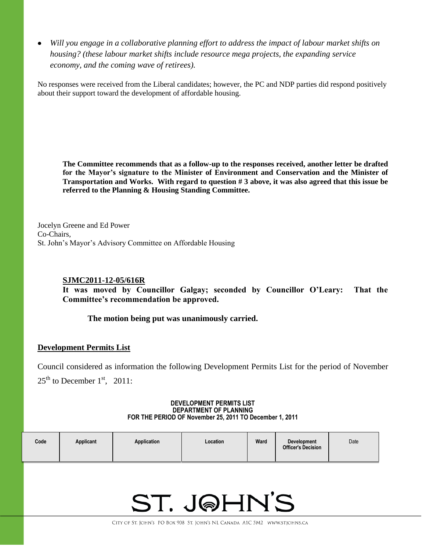*Will you engage in a collaborative planning effort to address the impact of labour market shifts on housing? (these labour market shifts include resource mega projects, the expanding service economy, and the coming wave of retirees).*

No responses were received from the Liberal candidates; however, the PC and NDP parties did respond positively about their support toward the development of affordable housing.

**The Committee recommends that as a follow-up to the responses received, another letter be drafted for the Mayor's signature to the Minister of Environment and Conservation and the Minister of Transportation and Works. With regard to question # 3 above, it was also agreed that this issue be referred to the Planning & Housing Standing Committee.**

Jocelyn Greene and Ed Power Co-Chairs, St. John's Mayor's Advisory Committee on Affordable Housing

#### **SJMC2011-12-05/616R**

**It was moved by Councillor Galgay; seconded by Councillor O'Leary: That the Committee's recommendation be approved.**

**The motion being put was unanimously carried.**

#### **Development Permits List**

Council considered as information the following Development Permits List for the period of November  $25<sup>th</sup>$  to December 1<sup>st</sup>, 2011:

> **DEVELOPMENT PERMITS LIST DEPARTMENT OF PLANNING FOR THE PERIOD OF November 25, 2011 TO December 1, 2011**

| Code | Applicant | Application | Location | Ward | <b>Development</b><br><b>Officer's Decision</b> | Date |
|------|-----------|-------------|----------|------|-------------------------------------------------|------|
|------|-----------|-------------|----------|------|-------------------------------------------------|------|

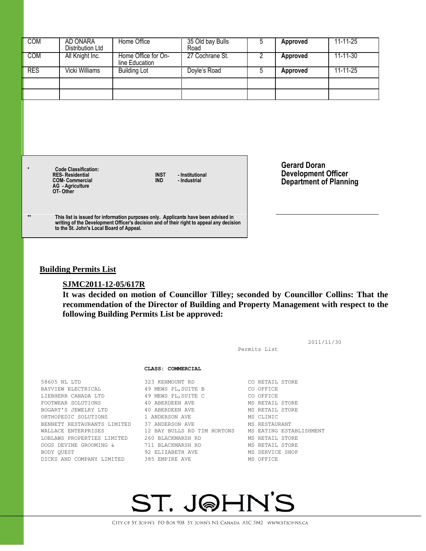| <b>COM</b>                                                                                                                | AD ONARA<br>Distribution Ltd | Home Office                           | 35 Old bay Bulls<br>Road        | 5              | <b>Approved</b>                                                                    | 11-11-25       |
|---------------------------------------------------------------------------------------------------------------------------|------------------------------|---------------------------------------|---------------------------------|----------------|------------------------------------------------------------------------------------|----------------|
| <b>COM</b>                                                                                                                | All Knight Inc.              | Home Office for On-<br>line Education | 27 Cochrane St.                 | $\overline{2}$ | <b>Approved</b>                                                                    | 11-11-30       |
| <b>RES</b>                                                                                                                | Vicki Williams               | <b>Building Lot</b>                   | Doyle's Road                    | 5              | Approved                                                                           | $11 - 11 - 25$ |
|                                                                                                                           |                              |                                       |                                 |                |                                                                                    |                |
|                                                                                                                           |                              |                                       |                                 |                |                                                                                    |                |
|                                                                                                                           |                              |                                       |                                 |                |                                                                                    |                |
|                                                                                                                           |                              |                                       |                                 |                |                                                                                    |                |
|                                                                                                                           |                              |                                       |                                 |                |                                                                                    |                |
| $\star$<br><b>Code Classification:</b><br><b>RES-Residential</b><br><b>COM-Commercial</b><br>AG - Agriculture<br>OT-Other |                              | <b>INST</b><br><b>IND</b>             | - Institutional<br>- Industrial |                | <b>Gerard Doran</b><br><b>Development Officer</b><br><b>Department of Planning</b> |                |
|                                                                                                                           |                              |                                       |                                 |                |                                                                                    |                |

#### **Building Permits List**

### **SJMC2011-12-05/617R**

**It was decided on motion of Councillor Tilley; seconded by Councillor Collins: That the recommendation of the Director of Building and Property Management with respect to the following Building Permits List be approved:**

|                                             |                             | Permits List            | 2011/11/30 |
|---------------------------------------------|-----------------------------|-------------------------|------------|
|                                             | CLASS: COMMERCIAL           |                         |            |
| 58605 NL LTD                                | 323 KENMOUNT RD             | CO RETAIL STORE         |            |
| BAYVIEW ELECTRICAL                          | 49 MEWS PL, SUITE B         | CO OFFICE               |            |
| LIEBHERR CANADA LTD                         | 49 MEWS PL, SUITE C         | CO OFFICE               |            |
| FOOTWEAR SOLUTIONS                          | 40 ABERDEEN AVE             | MS RETAIL STORE         |            |
| BOGART'S JEWELRY LTD                        | 40 ABERDEEN AVE             | MS RETAIL STORE         |            |
| ORTHOPEDIC SOLUTIONS                        | 1 ANDERSON AVE              | MS CLINIC               |            |
| BENNETT RESTAURANTS LIMITED 37 ANDERSON AVE |                             | MS RESTAURANT           |            |
| WALLACE ENTERPRISES                         | 12 BAY BULLS RD TIM HORTONS | MS EATING ESTABLISHMENT |            |
| LOBLAWS PROPERTIES LIMITED                  | 260 BLACKMARSH RD           | MS RETAIL STORE         |            |
| DOGS DEVINE GROOMING &                      | 711 BLACKMARSH RD           | MS RETAIL STORE         |            |
| BODY QUEST                                  | 92 ELIZABETH AVE            | MS SERVICE SHOP         |            |
| DICKS AND COMPANY LIMITED                   | 385 EMPIRE AVE              | MS OFFICE               |            |
|                                             |                             |                         |            |

# ST. J@HN'S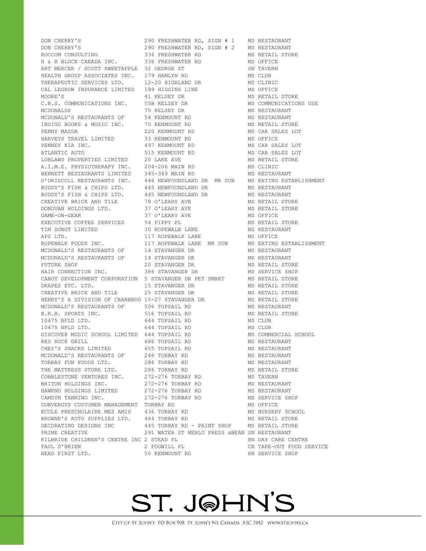DON CHERRY'S 290 FRESHWATER RD, SIGN # 1 MS RESTAURANT DON CHERRY'S 290 FRESHWATER RD, SIGN # 2 MS RESTAURANT ROCCOM CONSULTING 6 336 FRESHWATER RD 6 MS RETAIL STORE H & R BLOCK CANADA INC. 336 FRESHWATER RD MS OFFICE ART MERCER / SCOTT SWEETAPPLE 32 GEORGE ST SN TAVERN HEALTH GROUP ASSOCIATES INC. 179 HAMLYN RD MS CLUB THERAPEUTIC SERVICES LTD. 12-20 HIGHLAND DR MS CLINIC CAL LEGROW INSURANCE LIMITED 189 HIGGINS LINE MS OFFICE MOORE'S 41 KELSEY DR MS RETAIL STORE C.B.S. COMMUNICATIONS INC. 55B KELSEY DR MS COMMUNICATIONS USE MCDONALDS 75 KELSEY DR MS RESTAURANT MCDONALD'S RESTAURANTS OF 54 KENMOUNT RD MS RESTAURANT INDIGO BOOKS & MUSIC INC. 70 KENMOUNT RD MS RETAIL STORE PENNY MAZDA 220 KENMOUNT RD MS CAR SALES LOT HARVEYS TRAVEL LIMITED 33 KENMOUNT RD MS OFFICE PENNEY KIA INC. 497 KENMOUNT RD MS CAR SALES LOT ATLANTIC AUTO 515 KENMOUNT RD MS CAR SALES LOT LOBLAWS PROPERTIES LIMITED 20 LAKE AVE MS RETAIL STORE A.I.M.E. PHYSIOTHERAPY INC. 204-206 MAIN RD MS CLINIC BENNETT RESTAURANTS LIMITED 345-349 MAIN RD MS RESTAURANT O'DRISCOLL RESTAURANTS INC. 446 NEWFOUNDLAND DR MR SUB MS EATING ESTABLISHMENT<br>BUDDY'S FISH & CHIPS LTD. 445 NEWFOUNDLAND DR MS RESTAURANT BUDDY'S FISH & CHIPS LTD. 445 NEWFOUNDLAND DR MS RESTAURANT CREATIVE BRICK AND TILE 78 O'LEARY AVE MS RETAIL STORE DONOVAN HOLDINGS LTD. 37 O'LEARY AVE MS RETAIL STORE GAME-ON-GEAR 37 O'LEARY AVE MS OFFICE EXECUTIVE COFFEE SERVICES 54 PIPPY PL MS RETAIL STORE TIM DONUT LIMITED 30 ROPEWALK LANE MS RESTAURANT APS LTD. THE RESERVE OF THE LANGE MANUSCRIPT OF A LANGE METHOD. AND METHOD MS OFFICE ROPEWALK FOODS INC. 117 ROPEWALK LANE MR SUB MS EATING ESTABLISHMENT MCDONALD'S RESTAURANTS OF 14 STAVANGER DR MS RESTAURANT MCDONALD'S RESTAURANTS OF 14 STAVANGER DR MS RESTAURANT FUTURE SHOP 20 STAVANGER DR MS RETAIL STORE HAIR CONNECTION INC. 386 STAVANGER DR MS SERVICE SHOP CABOT DEVELOPMENT CORPORATION 5 STAVANGER DR PET SMART MS RETAIL STORE DRAPES ETC. LTD. 15 STAVANGER DR MS RETAIL STORE CREATIVE BRICK AND TILE 25 STAVANGER DR MS RETAIL STORE HENRY'S A DIVISION OF CRANBROO 15-27 STAVANGER DR MS RETAIL STORE MCDONALD'S RESTAURANTS OF 506 TOPSAIL RD MS RESTAURANT B.R.B. SPORTS INC. 516 TOPSAIL RD MS RETAIL STORE 10475 NFLD LTD. 644 TOPSAIL RD MS CLUB 10475 NFLD LTD. 644 TOPSAIL RD MS CLUB DISCOVER MUSIC SCHOOL LIMITED 644 TOPSAIL RD MS COMMERCIAL SCHOOL RED ROCK GRILL **686 TOPSAIL RD** MS RESTAURANT CHES'S SNACKS LIMITED 655 TOPSAIL RD 655 MS RESTAURANT MCDONALD'S RESTAURANTS OF 248 TORBAY RD MS RESTAURANT TORBAY FUN FOODS LTD. 286 TORBAY RD MS RESTAURANT THE MATTRESS STORE LTD. 286 TORBAY RD MS RETAIL STORE COBBLESTONE VENTURES INC. 272-276 TORBAY RD MS TAVERN BRITON HOLDINGS INC. 272-276 TORBAY RD MS RESTAURANT HAWKNO HOLDINGS LIMITED  $272-276$  TORBAY RD MS RESTAURANT CAMDYN TANNING INC. 272-276 TORBAY RD MS SERVICE SHOP CONVERGYS CUSTOMER MANAGEMENT TORBAY RD MS OFFICE ECOLE PRESCHOLAIRE MES AMIS 436 TORBAY RD MS NURSERY SCHOOL BROWNE'S AUTO SUPPLIES LTD. 464 TORBAY RD MS RETAIL STORE DECORATING DESIGNS INC 445 TORBAY RD - PAINT SHOP MS RETAIL STORE PRIME CREATIVE 291 WATER ST MERLO PRESS &BEAN SN RESTAURANT KILBRIDE CHILDREN'S CENTRE INC 2 STEAD PL RN DAY CARE CENTRE PAUL O'BRIEN 2 FOGWILL PL CR TAKE-OUT FOOD SERVICE HEAD FIRST LTD. 50 KENMOUNT RD RN SERVICE SHOP

A BUDDY BUDDYN AND DR MS RESTAURANT

## ST. J@HN'S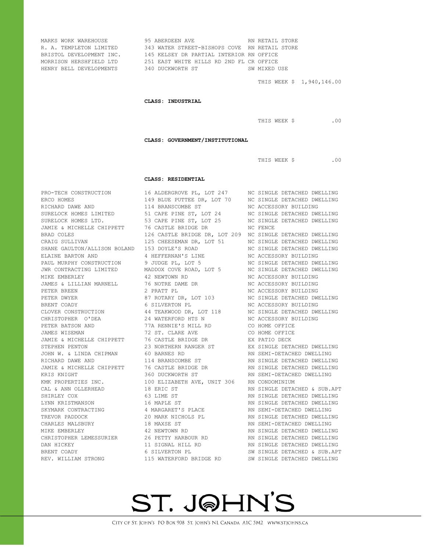| MARKS WORK WAREHOUSE            | 95 ABERDEEN AVE <b>ARRY SETALL STORE</b><br>MAKKS WORK WARENOODE<br>R. A. TEMPLETON LIMITED 343 WATER STREET-BISHOPS COVE RN RETAIL STORE<br>BRISTOL DEVELOPMENT INC. 145 KELSEY DR PARTIAL INTERIOR RN OFFICE<br>2001 - 2003 BASE WITTER PLATE WILL BE OND RL CR OFFICE | SW MIXED USE<br>THIS WEEK \$ 1,940,146.00 |
|---------------------------------|--------------------------------------------------------------------------------------------------------------------------------------------------------------------------------------------------------------------------------------------------------------------------|-------------------------------------------|
|                                 | CLASS: INDUSTRIAL                                                                                                                                                                                                                                                        |                                           |
|                                 |                                                                                                                                                                                                                                                                          | THIS WEEK \$ .00                          |
|                                 | CLASS: GOVERNMENT/INSTITUTIONAL                                                                                                                                                                                                                                          |                                           |
|                                 |                                                                                                                                                                                                                                                                          | THIS WEEK \$ .00                          |
|                                 | CLASS: RESIDENTIAL                                                                                                                                                                                                                                                       |                                           |
|                                 | PRO-TECH CONSTRUCTION 16 ALDERGROVE PL, LOT 247 MC SINGLE DETACHED DWELLING<br>ERCO HOMES 149 BLUE PUTTEE DR, LOT 70 MC SINGLE DETACHED DWELLING<br>RICHARD DAWE AND 114 BRANSCOMBE ST MC ACCESSORY BUILDING<br>SURELOCK HOMES LIMIT                                     |                                           |
|                                 |                                                                                                                                                                                                                                                                          |                                           |
|                                 |                                                                                                                                                                                                                                                                          |                                           |
|                                 | SURELOCK HOMES LIMITED 53 CAPE FINE SI, LOT 24<br>JAMIE & MICHELLE CHIPPETT 76 CASTLE BRIDGE DR<br>BRAD COLES 126 CASTLE BRIDGE DR<br>SURE DETACHED DWELLING<br>CRAIG SULLIVAN 125 CHEESEMAN DR, LOT 51 NC SINGLE DETACHED DWELLING<br>S                                 |                                           |
|                                 |                                                                                                                                                                                                                                                                          |                                           |
|                                 |                                                                                                                                                                                                                                                                          |                                           |
|                                 |                                                                                                                                                                                                                                                                          |                                           |
|                                 |                                                                                                                                                                                                                                                                          |                                           |
|                                 |                                                                                                                                                                                                                                                                          |                                           |
|                                 |                                                                                                                                                                                                                                                                          |                                           |
|                                 |                                                                                                                                                                                                                                                                          |                                           |
|                                 |                                                                                                                                                                                                                                                                          |                                           |
|                                 |                                                                                                                                                                                                                                                                          |                                           |
|                                 | PAUL MURPHY CONSTRUCTION 9 JUDGE PL, LOT 5<br>JUNE ON TRACTING LIMITED MADDOX COVE ROAD, LOT 5<br>MIKE EMBERLEY 42 NEWTOWN RD<br>JAMES & LILLIAN MARNELL 76 NOTRE DAME DR<br>PETER BREEN 2 PRATT PL BE ACCESSORY BUILDING<br>PETER BREEN                                 |                                           |
|                                 | ERENT COADY<br>BRENT COADY 6 SILVERTON PL<br>CLOVER CONSTRUCTION 44 TEAKWOOD DR, LOT 118 MC SINGLE DETACHED DWELLING<br>CHRISTOPHER O'DEA 24 WATERFORD HTS N NC ACCESSORY BUILDING                                                                                       |                                           |
|                                 |                                                                                                                                                                                                                                                                          |                                           |
|                                 |                                                                                                                                                                                                                                                                          |                                           |
|                                 | PETER BATSON AND 77A RENNIE'S MILL RD CO HOME OFFICE<br>JAMES WISEMAN 72 ST. CLARE AVE CO HOME OFFICE<br>JAMES WISEMAN 72 ST. CLARE AVE CO HOME OFFICE<br>STEPHEN ENTON 23 NORTHERN RANGER ST EX SINGLE DETACHED DWELLING<br>JOHN W. &                                   |                                           |
|                                 |                                                                                                                                                                                                                                                                          |                                           |
|                                 |                                                                                                                                                                                                                                                                          |                                           |
|                                 |                                                                                                                                                                                                                                                                          |                                           |
|                                 |                                                                                                                                                                                                                                                                          |                                           |
|                                 |                                                                                                                                                                                                                                                                          |                                           |
|                                 | NE A MICHELLE CHIPPETT 76 CASTLE BRIDGE DR<br>XRIS KNIGHT 360 DUCKWORTH ST AN SINGLE DETACHED DWELLING<br>KRIS KNIGHT 360 DUCKWORTH ST AN SEMI-DETACHED DWELLING<br>KMK PROPERTIES INC. 100 ELIZABETH AVE, UNIT 306 RN CONDOMINIUM                                       |                                           |
|                                 |                                                                                                                                                                                                                                                                          |                                           |
| CAL & ANN OLLERHEAD 18 ERIC ST  |                                                                                                                                                                                                                                                                          | RN SINGLE DETACHED & SUB.APT              |
| SHIRLEY COX<br>LYNN KRISTMANSON | 63 LIME ST<br>16 MAPLE ST                                                                                                                                                                                                                                                | RN SINGLE DETACHED DWELLING               |
|                                 |                                                                                                                                                                                                                                                                          | RN SINGLE DETACHED DWELLING               |
|                                 |                                                                                                                                                                                                                                                                          |                                           |
|                                 | EN SAMARK CONTRACTING (10 MAPLE SI AN SINGLE DETACHED DWELLING)<br>TREVOR PADDOCK 20 MARK NICHOLS PL<br>CHARLES MALSBURY 18 MAXSE ST RN SEMI-DETACHED DWELLING<br>CHARLES MALSBURY 12 NEWTOWN RD RN SINGLE DETACHED DWELLING<br>CHRIST                                   |                                           |
|                                 |                                                                                                                                                                                                                                                                          |                                           |
|                                 |                                                                                                                                                                                                                                                                          |                                           |
|                                 |                                                                                                                                                                                                                                                                          |                                           |
|                                 |                                                                                                                                                                                                                                                                          |                                           |
|                                 | REV. WILLIAM STRONG 115 WATERFORD BRIDGE RD SW SINGLE DETACHED DWELLING                                                                                                                                                                                                  |                                           |
|                                 |                                                                                                                                                                                                                                                                          |                                           |

# ST. J@HN'S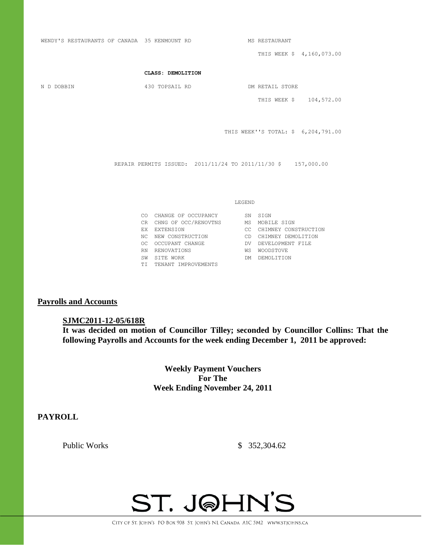WENDY'S RESTAURANTS OF CANADA 35 KENMOUNT RD MS RESTAURANT THIS WEEK \$ 4,160,073.00 **CLASS: DEMOLITION** N D DOBBIN 430 TOPSAIL RD DM RETAIL STORE THIS WEEK \$ 104,572.00 THIS WEEK''S TOTAL: \$ 6,204,791.00 REPAIR PERMITS ISSUED: 2011/11/24 TO 2011/11/30 \$ 157,000.00 LEGEND CO CHANGE OF OCCUPANCY SN SIGN CR CHNG OF OCC/RENOVTNS MS MOBILE SIGN EX EXTENSION CC CHIMNEY CONSTRUCTION NC NEW CONSTRUCTION CD CHIMNEY DEMOLITION OC OCCUPANT CHANGE DV DEVELOPMENT FILE RN RENOVATIONS WS WOODSTOVE SW SITE WORK DM DEMOLITION TI TENANT IMPROVEMENTS

#### **Payrolls and Accounts**

#### **SJMC2011-12-05/618R**

**It was decided on motion of Councillor Tilley; seconded by Councillor Collins: That the following Payrolls and Accounts for the week ending December 1, 2011 be approved:** 

> **Weekly Payment Vouchers For The Week Ending November 24, 2011**

#### **PAYROLL**

Public Works \$ 352,304.62

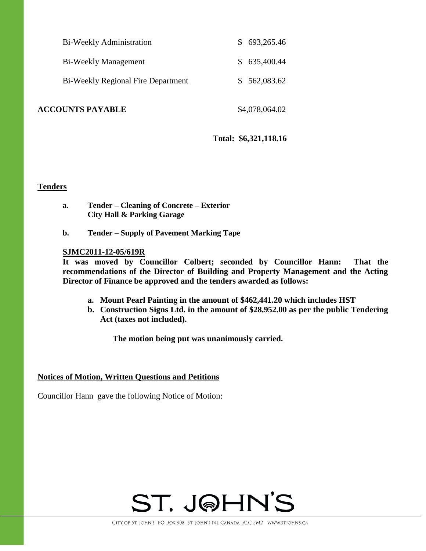| Bi-Weekly Administration           | \$693,265.46 |
|------------------------------------|--------------|
| Bi-Weekly Management               | \$635,400.44 |
| Bi-Weekly Regional Fire Department | \$562,083.62 |
|                                    |              |

**ACCOUNTS PAYABLE** \$4,078,064.02

**Total: \$6,321,118.16**

#### **Tenders**

- **a. Tender – Cleaning of Concrete – Exterior City Hall & Parking Garage**
- **b. Tender – Supply of Pavement Marking Tape**

#### **SJMC2011-12-05/619R**

**It was moved by Councillor Colbert; seconded by Councillor Hann: That the recommendations of the Director of Building and Property Management and the Acting Director of Finance be approved and the tenders awarded as follows:**

- **a. Mount Pearl Painting in the amount of \$462,441.20 which includes HST**
- **b. Construction Signs Ltd. in the amount of \$28,952.00 as per the public Tendering Act (taxes not included).**

**The motion being put was unanimously carried.**

#### **Notices of Motion, Written Questions and Petitions**

Councillor Hann gave the following Notice of Motion:

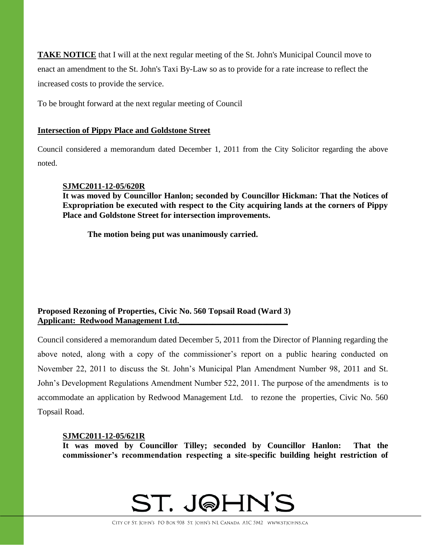**TAKE NOTICE** that I will at the next regular meeting of the St. John's Municipal Council move to enact an amendment to the St. John's Taxi By-Law so as to provide for a rate increase to reflect the increased costs to provide the service.

To be brought forward at the next regular meeting of Council

#### **Intersection of Pippy Place and Goldstone Street**

Council considered a memorandum dated December 1, 2011 from the City Solicitor regarding the above noted.

#### **SJMC2011-12-05/620R**

**It was moved by Councillor Hanlon; seconded by Councillor Hickman: That the Notices of Expropriation be executed with respect to the City acquiring lands at the corners of Pippy Place and Goldstone Street for intersection improvements.**

**The motion being put was unanimously carried.**

#### **Proposed Rezoning of Properties, Civic No. 560 Topsail Road (Ward 3) Applicant: Redwood Management Ltd.\_\_\_\_\_\_\_\_\_\_\_\_\_\_\_\_\_\_\_\_\_\_\_\_\_\_**

Council considered a memorandum dated December 5, 2011 from the Director of Planning regarding the above noted, along with a copy of the commissioner's report on a public hearing conducted on November 22, 2011 to discuss the St. John's Municipal Plan Amendment Number 98, 2011 and St. John's Development Regulations Amendment Number 522, 2011. The purpose of the amendments is to accommodate an application by Redwood Management Ltd. to rezone the properties, Civic No. 560 Topsail Road.

#### **SJMC2011-12-05/621R**

**It was moved by Councillor Tilley; seconded by Councillor Hanlon: That the commissioner's recommendation respecting a site-specific building height restriction of** 

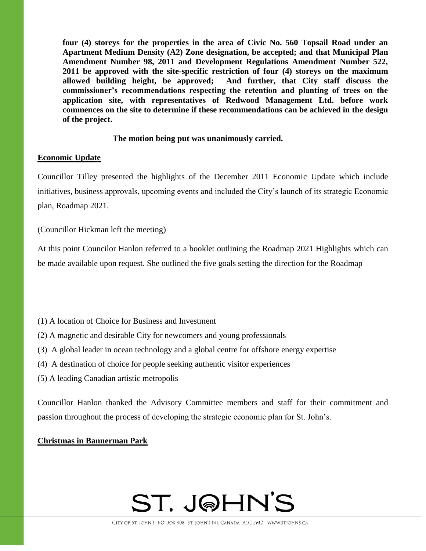**four (4) storeys for the properties in the area of Civic No. 560 Topsail Road under an Apartment Medium Density (A2) Zone designation, be accepted; and that Municipal Plan Amendment Number 98, 2011 and Development Regulations Amendment Number 522, 2011 be approved with the site-specific restriction of four (4) storeys on the maximum allowed building height, be approved; And further, that City staff discuss the commissioner's recommendations respecting the retention and planting of trees on the application site, with representatives of Redwood Management Ltd. before work commences on the site to determine if these recommendations can be achieved in the design of the project.**

#### **The motion being put was unanimously carried.**

#### **Economic Update**

Councillor Tilley presented the highlights of the December 2011 Economic Update which include initiatives, business approvals, upcoming events and included the City's launch of its strategic Economic plan, Roadmap 2021.

(Councillor Hickman left the meeting)

At this point Councilor Hanlon referred to a booklet outlining the Roadmap 2021 Highlights which can be made available upon request. She outlined the five goals setting the direction for the Roadmap –

- (1) A location of Choice for Business and Investment
- (2) A magnetic and desirable City for newcomers and young professionals
- (3) A global leader in ocean technology and a global centre for offshore energy expertise
- (4) A destination of choice for people seeking authentic visitor experiences
- (5) A leading Canadian artistic metropolis

Councillor Hanlon thanked the Advisory Committee members and staff for their commitment and passion throughout the process of developing the strategic economic plan for St. John's.

#### **Christmas in Bannerman Park**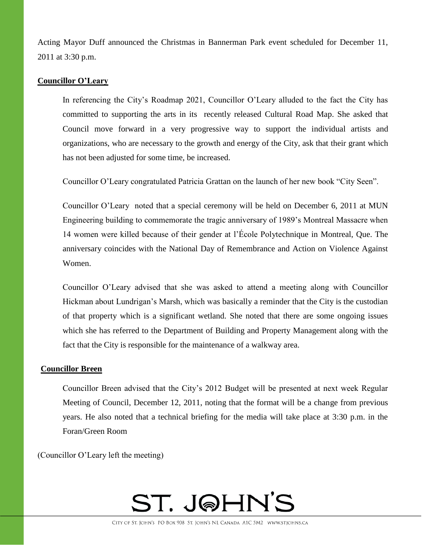Acting Mayor Duff announced the Christmas in Bannerman Park event scheduled for December 11, 2011 at 3:30 p.m.

#### **Councillor O'Leary**

In referencing the City's Roadmap 2021, Councillor O'Leary alluded to the fact the City has committed to supporting the arts in its recently released Cultural Road Map. She asked that Council move forward in a very progressive way to support the individual artists and organizations, who are necessary to the growth and energy of the City, ask that their grant which has not been adjusted for some time, be increased.

Councillor O'Leary congratulated Patricia Grattan on the launch of her new book "City Seen".

Councillor O'Leary noted that a special ceremony will be held on December 6, 2011 at MUN Engineering building to commemorate the tragic anniversary of 1989's Montreal Massacre when 14 women were killed because of their gender at l'École Polytechnique in Montreal, Que. The anniversary coincides with the National Day of Remembrance and Action on Violence Against Women.

Councillor O'Leary advised that she was asked to attend a meeting along with Councillor Hickman about Lundrigan's Marsh, which was basically a reminder that the City is the custodian of that property which is a significant wetland. She noted that there are some ongoing issues which she has referred to the Department of Building and Property Management along with the fact that the City is responsible for the maintenance of a walkway area.

#### **Councillor Breen**

Councillor Breen advised that the City's 2012 Budget will be presented at next week Regular Meeting of Council, December 12, 2011, noting that the format will be a change from previous years. He also noted that a technical briefing for the media will take place at 3:30 p.m. in the Foran/Green Room

(Councillor O'Leary left the meeting)

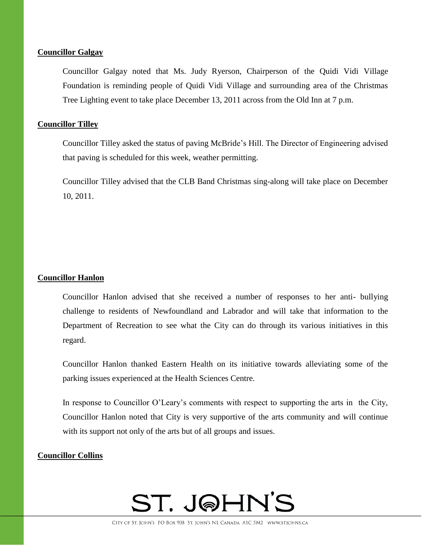#### **Councillor Galgay**

Councillor Galgay noted that Ms. Judy Ryerson, Chairperson of the Quidi Vidi Village Foundation is reminding people of Quidi Vidi Village and surrounding area of the Christmas Tree Lighting event to take place December 13, 2011 across from the Old Inn at 7 p.m.

#### **Councillor Tilley**

Councillor Tilley asked the status of paving McBride's Hill. The Director of Engineering advised that paving is scheduled for this week, weather permitting.

Councillor Tilley advised that the CLB Band Christmas sing-along will take place on December 10, 2011.

#### **Councillor Hanlon**

Councillor Hanlon advised that she received a number of responses to her anti- bullying challenge to residents of Newfoundland and Labrador and will take that information to the Department of Recreation to see what the City can do through its various initiatives in this regard.

Councillor Hanlon thanked Eastern Health on its initiative towards alleviating some of the parking issues experienced at the Health Sciences Centre.

In response to Councillor O'Leary's comments with respect to supporting the arts in the City, Councillor Hanlon noted that City is very supportive of the arts community and will continue with its support not only of the arts but of all groups and issues.

#### **Councillor Collins**